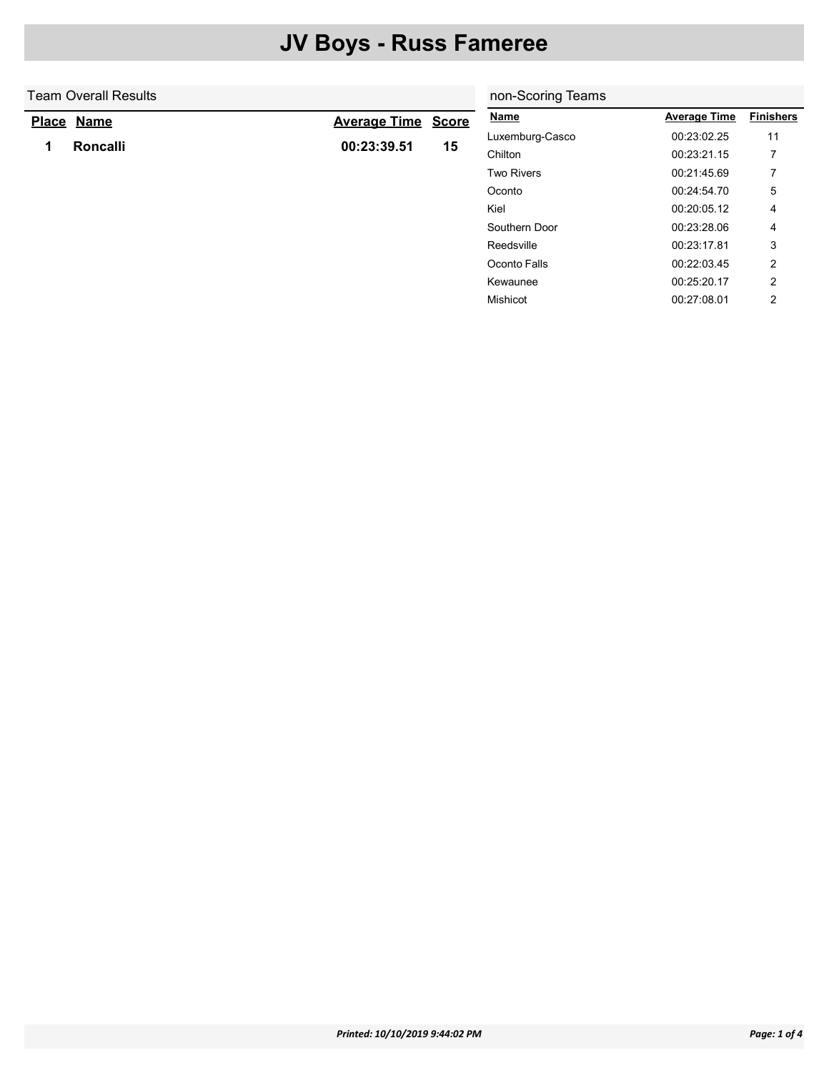|   | <b>Team Overall Results</b> | non-Scoring Teams   |              |                   |                     |                  |
|---|-----------------------------|---------------------|--------------|-------------------|---------------------|------------------|
|   | Place Name                  | <b>Average Time</b> | <b>Score</b> | <b>Name</b>       | <b>Average Time</b> | <b>Finishers</b> |
| 1 | Roncalli                    | 00:23:39.51         |              | Luxemburg-Casco   | 00:23:02.25         | 11               |
|   |                             |                     | 15           | Chilton           | 00:23:21.15         |                  |
|   |                             |                     |              | <b>Two Rivers</b> | 00:21:45.69         | 7                |
|   |                             |                     |              | Oconto            | 00:24:54.70         | 5                |
|   |                             |                     |              | Kiel              | 00:20:05.12         | 4                |
|   |                             |                     |              | Southern Door     | 00:23:28.06         | 4                |
|   |                             |                     |              | Reedsville        | 00:23:17.81         | 3                |
|   |                             |                     |              | Oconto Falls      | 00:22:03.45         | 2                |
|   |                             |                     |              | Kewaunee          | 00:25:20.17         | 2                |
|   |                             |                     |              | Mishicot          | 00:27:08.01         | 2                |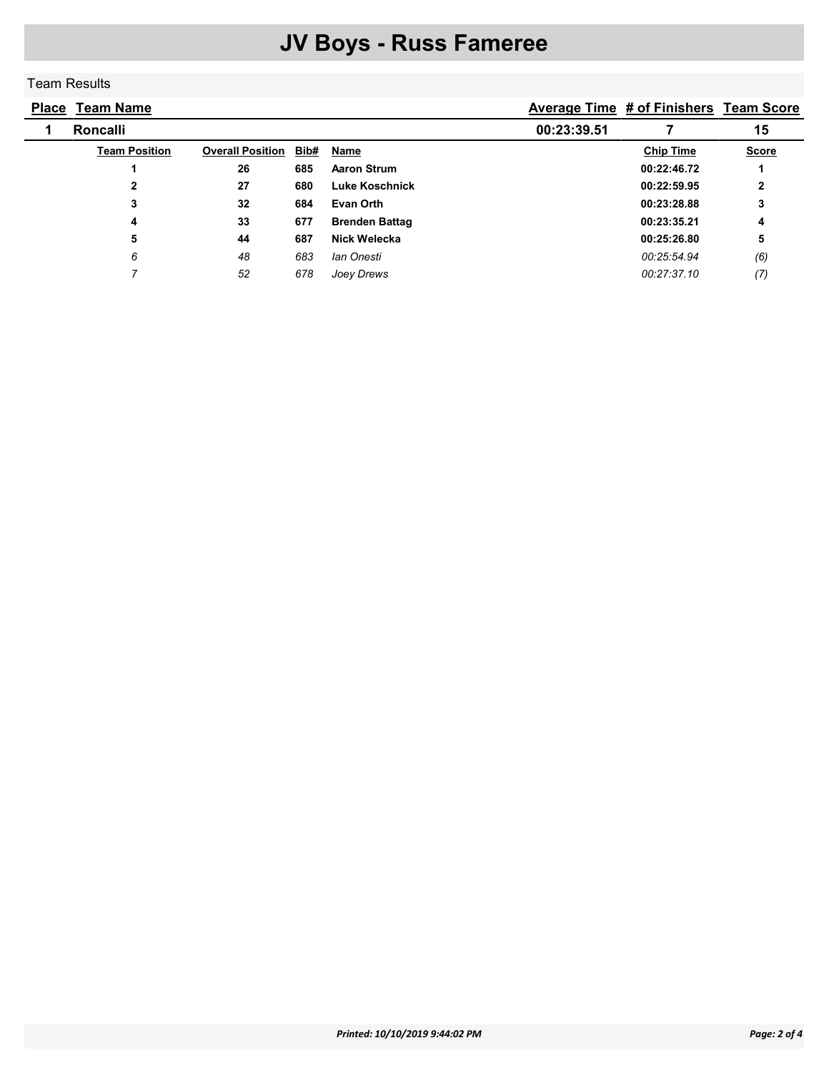#### Team Results

| <b>Place Team Name</b> |                         |      |                       |             | <b>Average Time # of Finishers Team Score</b> |              |
|------------------------|-------------------------|------|-----------------------|-------------|-----------------------------------------------|--------------|
| <b>Roncalli</b>        |                         |      |                       | 00:23:39.51 |                                               | 15           |
| <b>Team Position</b>   | <b>Overall Position</b> | Bib# | Name                  |             | <b>Chip Time</b>                              | <b>Score</b> |
|                        | 26                      | 685  | <b>Aaron Strum</b>    |             | 00:22:46.72                                   |              |
| 2                      | 27                      | 680  | Luke Koschnick        |             | 00:22:59.95                                   | $\mathbf{2}$ |
| 3                      | 32                      | 684  | Evan Orth             |             | 00:23:28.88                                   | 3            |
| 4                      | 33                      | 677  | <b>Brenden Battag</b> |             | 00:23:35.21                                   | 4            |
| 5                      | 44                      | 687  | Nick Welecka          |             | 00:25:26.80                                   | 5            |
| 6                      | 48                      | 683  | lan Onesti            |             | 00:25:54.94                                   | (6)          |
|                        | 52                      | 678  | Joey Drews            |             | 00:27:37.10                                   | (7)          |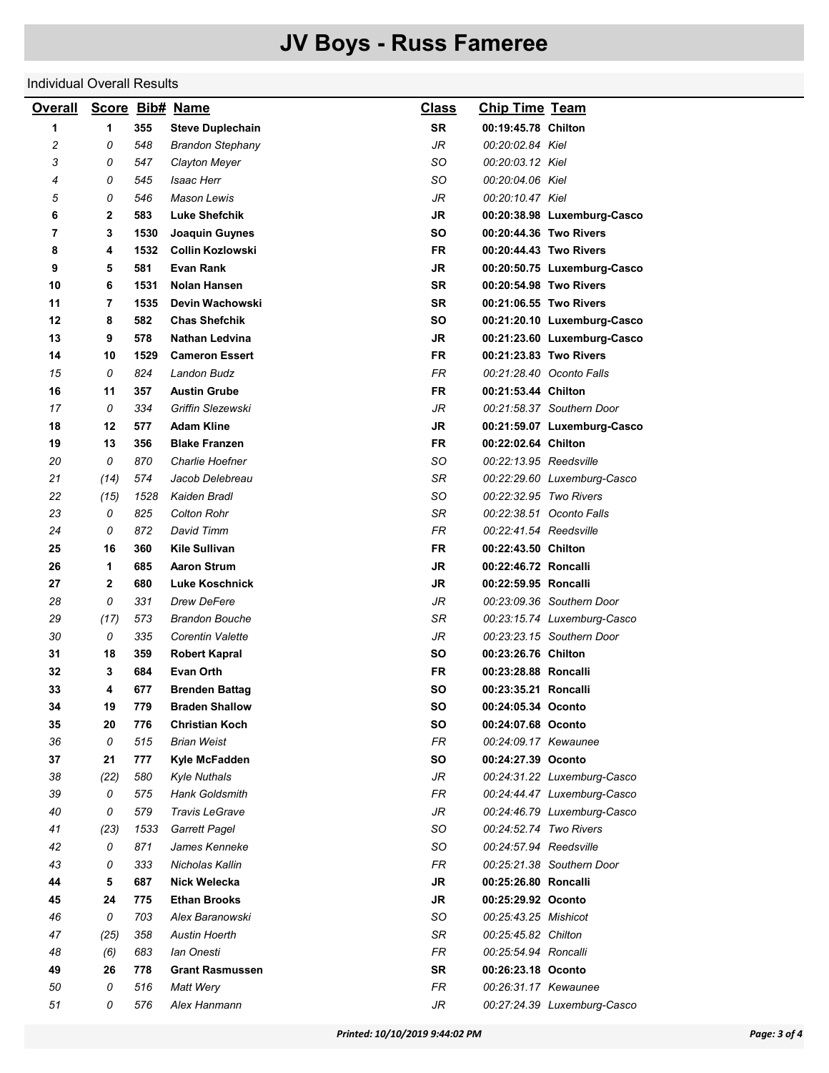#### Individual Overall Results

| <b>Overall</b> |              |      | Score Bib# Name         | <b>Class</b> | <b>Chip Time Team</b>  |                             |
|----------------|--------------|------|-------------------------|--------------|------------------------|-----------------------------|
| 1              | 1            | 355  | <b>Steve Duplechain</b> | <b>SR</b>    | 00:19:45.78 Chilton    |                             |
| 2              | 0            | 548  | <b>Brandon Stephany</b> | JR           | 00:20:02.84 Kiel       |                             |
| 3              | 0            | 547  | Clayton Meyer           | SO           | 00:20:03.12 Kiel       |                             |
| 4              | 0            | 545  | <b>Isaac Herr</b>       | SO           | 00:20:04.06 Kiel       |                             |
| 5              | 0            | 546  | <b>Mason Lewis</b>      | JR           | 00:20:10.47 Kiel       |                             |
| 6              | $\mathbf{2}$ | 583  | <b>Luke Shefchik</b>    | JR           |                        | 00:20:38.98 Luxemburg-Casco |
| 7              | 3            | 1530 | Joaquin Guynes          | SO           |                        | 00:20:44.36 Two Rivers      |
| 8              | 4            | 1532 | <b>Collin Kozlowski</b> | <b>FR</b>    |                        | 00:20:44.43 Two Rivers      |
| 9              | 5            | 581  | <b>Evan Rank</b>        | JR           |                        | 00:20:50.75 Luxemburg-Casco |
| 10             | 6            | 1531 | <b>Nolan Hansen</b>     | <b>SR</b>    |                        | 00:20:54.98 Two Rivers      |
| 11             | 7            | 1535 | Devin Wachowski         | <b>SR</b>    |                        | 00:21:06.55 Two Rivers      |
| 12             | 8            | 582  | <b>Chas Shefchik</b>    | SO           |                        | 00:21:20.10 Luxemburg-Casco |
| 13             | 9            | 578  | Nathan Ledvina          | JR           |                        | 00:21:23.60 Luxemburg-Casco |
| 14             | 10           | 1529 | <b>Cameron Essert</b>   | <b>FR</b>    |                        | 00:21:23.83 Two Rivers      |
| 15             | 0            | 824  | Landon Budz             | <b>FR</b>    |                        | 00:21:28.40 Oconto Falls    |
| 16             | 11           | 357  | <b>Austin Grube</b>     | FR           | 00:21:53.44 Chilton    |                             |
| 17             | 0            | 334  | Griffin Slezewski       | JR           |                        | 00:21:58.37 Southern Door   |
| 18             | 12           | 577  | <b>Adam Kline</b>       | <b>JR</b>    |                        | 00:21:59.07 Luxemburg-Casco |
| 19             | 13           | 356  | <b>Blake Franzen</b>    | <b>FR</b>    | 00:22:02.64 Chilton    |                             |
| 20             | 0            | 870  | Charlie Hoefner         | SO           | 00:22:13.95 Reedsville |                             |
| 21             | (14)         | 574  | Jacob Delebreau         | SR           |                        | 00:22:29.60 Luxemburg-Casco |
| 22             | (15)         | 1528 | Kaiden Bradl            | SO           | 00:22:32.95 Two Rivers |                             |
| 23             | 0            | 825  | <b>Colton Rohr</b>      | SR           |                        | 00:22:38.51 Oconto Falls    |
| 24             | 0            | 872  | David Timm              | <b>FR</b>    | 00:22:41.54 Reedsville |                             |
| 25             | 16           | 360  | Kile Sullivan           | <b>FR</b>    | 00:22:43.50 Chilton    |                             |
| 26             | 1            | 685  | <b>Aaron Strum</b>      | JR           | 00:22:46.72 Roncalli   |                             |
| 27             | $\mathbf{2}$ | 680  | <b>Luke Koschnick</b>   | <b>JR</b>    | 00:22:59.95 Roncalli   |                             |
| 28             | 0            | 331  | Drew DeFere             | JR           |                        | 00:23:09.36 Southern Door   |
| 29             | (17)         | 573  | <b>Brandon Bouche</b>   | SR           |                        | 00:23:15.74 Luxemburg-Casco |
| 30             | 0            | 335  | Corentin Valette        | JR           |                        | 00:23:23.15 Southern Door   |
| 31             | 18           | 359  | <b>Robert Kapral</b>    | SΟ           | 00:23:26.76 Chilton    |                             |
| 32             | 3            | 684  | <b>Evan Orth</b>        | FR           | 00:23:28.88 Roncalli   |                             |
| 33             | 4            | 677  | <b>Brenden Battag</b>   | SO           | 00:23:35.21 Roncalli   |                             |
| 34             | 19           | 779  | <b>Braden Shallow</b>   | SO           | 00:24:05.34 Oconto     |                             |
| 35             | 20           | 776  | <b>Christian Koch</b>   | SO           | 00:24:07.68 Oconto     |                             |
| 36             | 0            | 515  | <b>Brian Weist</b>      | FR           | 00:24:09.17 Kewaunee   |                             |
| 37             | 21           | 777  | Kyle McFadden           | SO           | 00:24:27.39 Oconto     |                             |
| 38             | (22)         | 580  | <b>Kyle Nuthals</b>     | JR           |                        | 00:24:31.22 Luxemburg-Casco |
| 39             | 0            | 575  | <b>Hank Goldsmith</b>   | FR           |                        | 00:24:44.47 Luxemburg-Casco |
| 40             | 0            | 579  | Travis LeGrave          | JR           |                        | 00:24:46.79 Luxemburg-Casco |
| 41             | (23)         | 1533 | <b>Garrett Pagel</b>    | SO           | 00:24:52.74 Two Rivers |                             |
| 42             | 0            | 871  | James Kenneke           | SO           | 00:24:57.94 Reedsville |                             |
| 43             | 0            | 333  | Nicholas Kallin         | FR           |                        | 00:25:21.38 Southern Door   |
| 44             | 5            | 687  | Nick Welecka            | JR           | 00:25:26.80 Roncalli   |                             |
| 45             | 24           | 775  | <b>Ethan Brooks</b>     | JR           | 00:25:29.92 Oconto     |                             |
| 46             | 0            | 703  | Alex Baranowski         | SO           | 00:25:43.25 Mishicot   |                             |
| 47             | (25)         | 358  | <b>Austin Hoerth</b>    | SR           | 00:25:45.82 Chilton    |                             |
| 48             | (6)          | 683  | Ian Onesti              | FR           | 00:25:54.94 Roncalli   |                             |
| 49             | 26           | 778  | <b>Grant Rasmussen</b>  | SR           | 00:26:23.18 Oconto     |                             |
| 50             | 0            | 516  | Matt Wery               | <b>FR</b>    | 00:26:31.17 Kewaunee   |                             |
| 51             | 0            | 576  | Alex Hanmann            | JR           |                        | 00:27:24.39 Luxemburg-Casco |